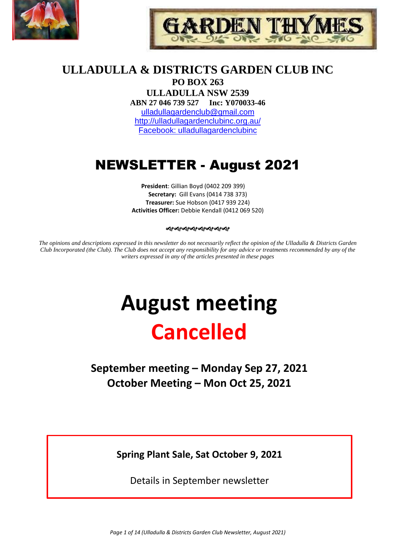



# **ULLADULLA & DISTRICTS GARDEN CLUB INC PO BOX 263**

**ULLADULLA NSW 2539 ABN 27 046 739 527 Inc: Y070033-46**  [ulladullagardenclub@gmail.com](mailto:ulladullagardenclub@gmail.com) <http://ulladullagardenclubinc.org.au/> Facebook: ulladullagardenclubinc

# NEWSLETTER - August 2021

**President**: Gillian Boyd (0402 209 399) **Secretary:** Gill Evans (0414 738 373) **Treasurer:** Sue Hobson (0417 939 224) **Activities Officer:** Debbie Kendall (0412 069 520)

#### જાજાજાજાજાજાજાજા

*The opinions and descriptions expressed in this newsletter do not necessarily reflect the opinion of the Ulladulla & Districts Garden Club Incorporated (the Club). The Club does not accept any responsibility for any advice or treatments recommended by any of the writers expressed in any of the articles presented in these pages*

# **August meeting Cancelled**

**September meeting – Monday Sep 27, 2021 October Meeting – Mon Oct 25, 2021**

**Spring Plant Sale, Sat October 9, 2021**

Details in September newsletter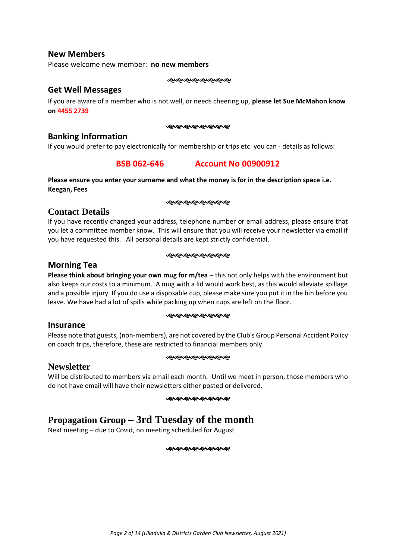#### **New Members**

Please welcome new member: **no new members**

જાજાજાજાજાજાજાજ

#### **Get Well Messages**

If you are aware of a member who is not well, or needs cheering up, **please let Sue McMahon know on 4455 2739**

#### જાજાજાજાજાજાજાજા

#### **Banking Information**

If you would prefer to pay electronically for membership or trips etc. you can - details as follows:

# **BSB 062-646 Account No 00900912**

#### **Please ensure you enter your surname and what the money is for in the description space i.e. Keegan, Fees**

#### ೲೲೲೲೲೲೲೲ

## **Contact Details**

If you have recently changed your address, telephone number or email address, please ensure that you let a committee member know. This will ensure that you will receive your newsletter via email if you have requested this. All personal details are kept strictly confidential.

#### જાજાજાજાજાજાજાજ

#### **Morning Tea**

**Please think about bringing your own mug for m/tea** – this not only helps with the environment but also keeps our costs to a minimum. A mug with a lid would work best, as this would alleviate spillage and a possible injury. If you do use a disposable cup, please make sure you put it in the bin before you leave. We have had a lot of spills while packing up when cups are left on the floor.

#### ઌ૰ઌઌઌઌઌઌઌઌ

#### **Insurance**

Please note that guests, (non-members), are not covered by the Club's Group Personal Accident Policy on coach trips, therefore, these are restricted to financial members only.

#### **Newsletter**

#### જાજાજાજાજાજાજાજા

Will be distributed to members via email each month. Until we meet in person, those members who do not have email will have their newsletters either posted or delivered.

#### જાગ્લેગ્લેગ્લેગ્લેગ્લેગ્લે*ગ*

# **Propagation Group – 3rd Tuesday of the month**

Next meeting – due to Covid, no meeting scheduled for August

#### ೲೲೲೲೲೲೲೲ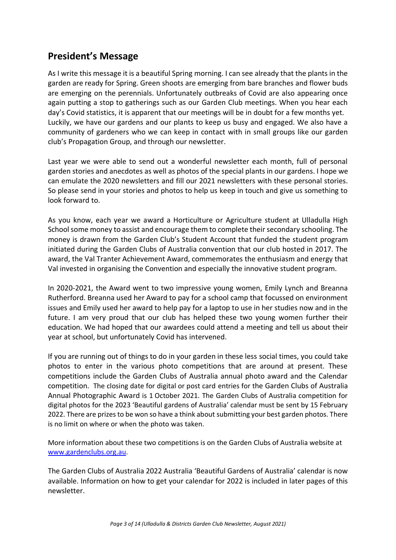# **President's Message**

As I write this message it is a beautiful Spring morning. I can see already that the plants in the garden are ready for Spring. Green shoots are emerging from bare branches and flower buds are emerging on the perennials. Unfortunately outbreaks of Covid are also appearing once again putting a stop to gatherings such as our Garden Club meetings. When you hear each day's Covid statistics, it is apparent that our meetings will be in doubt for a few months yet. Luckily, we have our gardens and our plants to keep us busy and engaged. We also have a community of gardeners who we can keep in contact with in small groups like our garden club's Propagation Group, and through our newsletter.

Last year we were able to send out a wonderful newsletter each month, full of personal garden stories and anecdotes as well as photos of the special plants in our gardens. I hope we can emulate the 2020 newsletters and fill our 2021 newsletters with these personal stories. So please send in your stories and photos to help us keep in touch and give us something to look forward to.

As you know, each year we award a Horticulture or Agriculture student at Ulladulla High School some money to assist and encourage them to complete their secondary schooling. The money is drawn from the Garden Club's Student Account that funded the student program initiated during the Garden Clubs of Australia convention that our club hosted in 2017. The award, the Val Tranter Achievement Award, commemorates the enthusiasm and energy that Val invested in organising the Convention and especially the innovative student program.

In 2020-2021, the Award went to two impressive young women, Emily Lynch and Breanna Rutherford. Breanna used her Award to pay for a school camp that focussed on environment issues and Emily used her award to help pay for a laptop to use in her studies now and in the future. I am very proud that our club has helped these two young women further their education. We had hoped that our awardees could attend a meeting and tell us about their year at school, but unfortunately Covid has intervened.

If you are running out of things to do in your garden in these less social times, you could take photos to enter in the various photo competitions that are around at present. These competitions include the Garden Clubs of Australia annual photo award and the Calendar competition. The closing date for digital or post card entries for the Garden Clubs of Australia Annual Photographic Award is 1 October 2021. The Garden Clubs of Australia competition for digital photos for the 2023 'Beautiful gardens of Australia' calendar must be sent by 15 February 2022. There are prizes to be won so have a think about submitting your best garden photos. There is no limit on where or when the photo was taken.

More information about these two competitions is on the Garden Clubs of Australia website at [www.gardenclubs.org.au.](http://www.gardenclubs.org.au/)

The Garden Clubs of Australia 2022 Australia 'Beautiful Gardens of Australia' calendar is now available. Information on how to get your calendar for 2022 is included in later pages of this newsletter.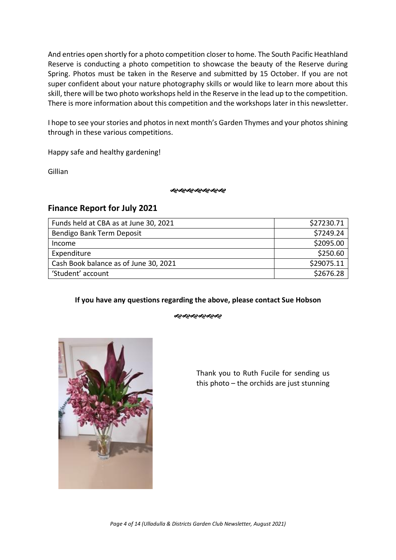And entries open shortly for a photo competition closer to home. The South Pacific Heathland Reserve is conducting a photo competition to showcase the beauty of the Reserve during Spring. Photos must be taken in the Reserve and submitted by 15 October. If you are not super confident about your nature photography skills or would like to learn more about this skill, there will be two photo workshops held in the Reserve in the lead up to the competition. There is more information about this competition and the workshops later in this newsletter.

I hope to see your stories and photos in next month's Garden Thymes and your photos shining through in these various competitions.

Happy safe and healthy gardening!

Gillian

**જ્જ્જ્જ્જ્જ્જ્જ્** 

# **Finance Report for July 2021**

| Funds held at CBA as at June 30, 2021 | \$27230.71 |
|---------------------------------------|------------|
| Bendigo Bank Term Deposit             | \$7249.24  |
| Income                                | \$2095.00  |
| Expenditure                           | \$250.60   |
| Cash Book balance as of June 30, 2021 | \$29075.11 |
| 'Student' account                     | \$2676.28  |

#### **If you have any questions regarding the above, please contact Sue Hobson**

ઌ૰ૡ૰ૡ૰ૡ૰ૡ



Thank you to Ruth Fucile for sending us this photo – the orchids are just stunning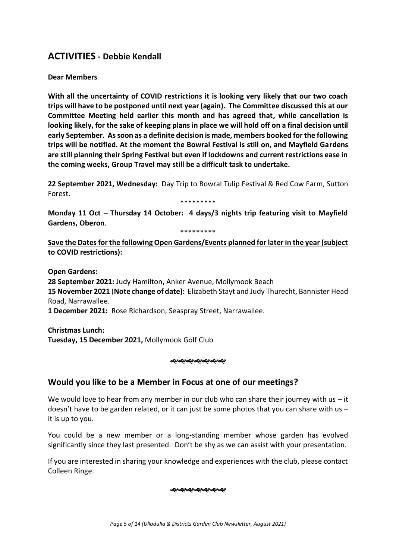# **ACTIVITIES - Debbie Kendall**

#### **Dear Members**

**With all the uncertainty of COVID restrictions it is looking very likely that our two coach trips will have to be postponed until next year (again). The Committee discussed this at our Committee Meeting held earlier this month and has agreed that, while cancellation is looking likely, for the sake of keeping plans in place we will hold off on a final decision until early September. As soon as a definite decision is made, members booked for the following trips will be notified. At the moment the Bowral Festival is still on, and Mayfield Gardens are still planning their Spring Festival but even if lockdowns and current restrictions ease in the coming weeks, Group Travel may still be a difficult task to undertake.** 

**22 September 2021, Wednesday:** Day Trip to Bowral Tulip Festival & Red Cow Farm, Sutton Forest.

\*\*\*\*\*\*\*\*\*

**Monday 11 Oct – Thursday 14 October: 4 days/3 nights trip featuring visit to Mayfield Gardens, Oberon**.

\*\*\*\*\*\*\*\*\*

**Save the Dates for the following Open Gardens/Events planned for later in the year (subject to COVID restrictions):**

**Open Gardens:**

**28 September 2021:** Judy Hamilton**,** Anker Avenue, Mollymook Beach **15 November 2021** (**Note change of date):** Elizabeth Stayt and Judy Thurecht, Bannister Head Road, Narrawallee.

**1 December 2021:** Rose Richardson, Seaspray Street, Narrawallee.

**Christmas Lunch: Tuesday, 15 December 2021,** Mollymook Golf Club

#### ન્ઠન્ઠન્ઠન્ઠન્ઠન્ઠન્

# **Would you like to be a Member in Focus at one of our meetings?**

We would love to hear from any member in our club who can share their journey with us  $-$  it doesn't have to be garden related, or it can just be some photos that you can share with us  $$ it is up to you.

You could be a new member or a long-standing member whose garden has evolved significantly since they last presented. Don't be shy as we can assist with your presentation.

If you are interested in sharing your knowledge and experiences with the club, please contact Colleen Ringe.

#### જાજાજાજાજાજાજ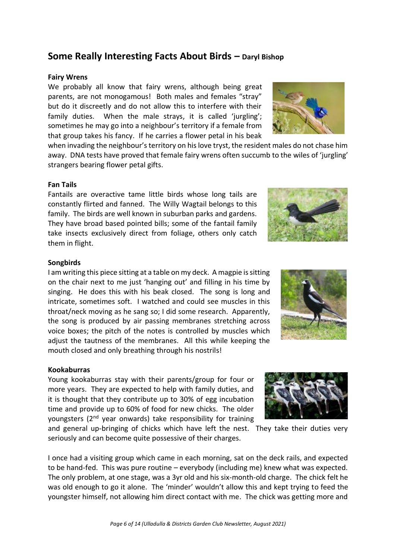# **Some Really Interesting Facts About Birds – Daryl Bishop**

#### **Fairy Wrens**

We probably all know that fairy wrens, although being great parents, are not monogamous! Both males and females "stray" but do it discreetly and do not allow this to interfere with their family duties. When the male strays, it is called 'jurgling'; sometimes he may go into a neighbour's territory if a female from that group takes his fancy. If he carries a flower petal in his beak

when invading the neighbour's territory on his love tryst, the resident males do not chase him away. DNA tests have proved that female fairy wrens often succumb to the wiles of 'jurgling' strangers bearing flower petal gifts.

#### **Fan Tails**

Fantails are overactive tame little birds whose long tails are constantly flirted and fanned. The Willy Wagtail belongs to this family. The birds are well known in suburban parks and gardens. They have broad based pointed bills; some of the fantail family take insects exclusively direct from foliage, others only catch them in flight.



#### **Songbirds**

I am writing this piece sitting at a table on my deck. A magpie is sitting on the chair next to me just 'hanging out' and filling in his time by singing. He does this with his beak closed. The song is long and intricate, sometimes soft. I watched and could see muscles in this throat/neck moving as he sang so; I did some research. Apparently, the song is produced by air passing membranes stretching across voice boxes; the pitch of the notes is controlled by muscles which adjust the tautness of the membranes. All this while keeping the mouth closed and only breathing through his nostrils!



#### **Kookaburras**

Young kookaburras stay with their parents/group for four or more years. They are expected to help with family duties, and it is thought that they contribute up to 30% of egg incubation time and provide up to 60% of food for new chicks. The older youngsters  $(2^{nd}$  year onwards) take responsibility for training

and general up-bringing of chicks which have left the nest. They take their duties very seriously and can become quite possessive of their charges.

I once had a visiting group which came in each morning, sat on the deck rails, and expected to be hand-fed. This was pure routine – everybody (including me) knew what was expected. The only problem, at one stage, was a 3yr old and his six-month-old charge. The chick felt he was old enough to go it alone. The 'minder' wouldn't allow this and kept trying to feed the youngster himself, not allowing him direct contact with me. The chick was getting more and



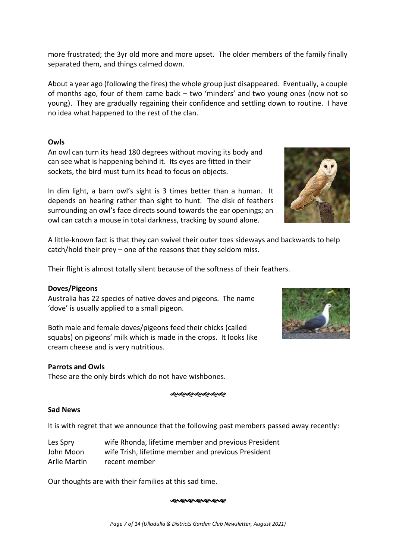more frustrated; the 3yr old more and more upset. The older members of the family finally separated them, and things calmed down.

About a year ago (following the fires) the whole group just disappeared. Eventually, a couple of months ago, four of them came back – two 'minders' and two young ones (now not so young). They are gradually regaining their confidence and settling down to routine. I have no idea what happened to the rest of the clan.

#### **Owls**

An owl can turn its head 180 degrees without moving its body and can see what is happening behind it. Its eyes are fitted in their sockets, the bird must turn its head to focus on objects.

In dim light, a barn owl's sight is 3 times better than a human. It depends on hearing rather than sight to hunt. The disk of feathers surrounding an owl's face directs sound towards the ear openings; an owl can catch a mouse in total darkness, tracking by sound alone.



A little-known fact is that they can swivel their outer toes sideways and backwards to help catch/hold their prey – one of the reasons that they seldom miss.

Their flight is almost totally silent because of the softness of their feathers.

#### **Doves/Pigeons**

Australia has 22 species of native doves and pigeons. The name 'dove' is usually applied to a small pigeon.

Both male and female doves/pigeons feed their chicks (called squabs) on pigeons' milk which is made in the crops. It looks like cream cheese and is very nutritious.

#### **Parrots and Owls**

These are the only birds which do not have wishbones.

#### ઌ૰ઌ૰ઌ૰ઌ૰ઌ૰ઌ

#### **Sad News**

It is with regret that we announce that the following past members passed away recently:

| Les Spry     | wife Rhonda, lifetime member and previous President |
|--------------|-----------------------------------------------------|
| John Moon    | wife Trish, lifetime member and previous President  |
| Arlie Martin | recent member                                       |

Our thoughts are with their families at this sad time.

#### ઌ૰ઌ૰ઌ૰ઌ૰ઌ૰ઌ

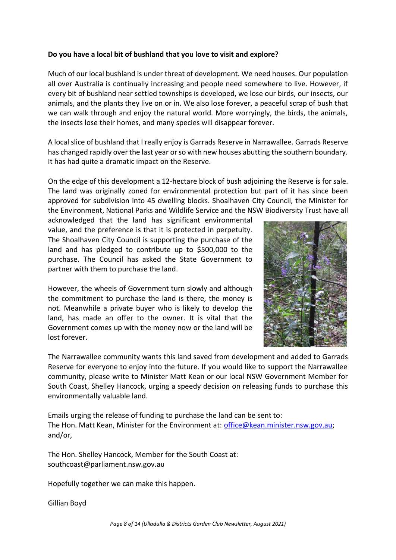#### **Do you have a local bit of bushland that you love to visit and explore?**

Much of our local bushland is under threat of development. We need houses. Our population all over Australia is continually increasing and people need somewhere to live. However, if every bit of bushland near settled townships is developed, we lose our birds, our insects, our animals, and the plants they live on or in. We also lose forever, a peaceful scrap of bush that we can walk through and enjoy the natural world. More worryingly, the birds, the animals, the insects lose their homes, and many species will disappear forever.

A local slice of bushland that I really enjoy is Garrads Reserve in Narrawallee. Garrads Reserve has changed rapidly over the last year or so with new houses abutting the southern boundary. It has had quite a dramatic impact on the Reserve.

On the edge of this development a 12-hectare block of bush adjoining the Reserve is for sale. The land was originally zoned for environmental protection but part of it has since been approved for subdivision into 45 dwelling blocks. Shoalhaven City Council, the Minister for the Environment, National Parks and Wildlife Service and the NSW Biodiversity Trust have all

acknowledged that the land has significant environmental value, and the preference is that it is protected in perpetuity. The Shoalhaven City Council is supporting the purchase of the land and has pledged to contribute up to \$500,000 to the purchase. The Council has asked the State Government to partner with them to purchase the land.

However, the wheels of Government turn slowly and although the commitment to purchase the land is there, the money is not. Meanwhile a private buyer who is likely to develop the land, has made an offer to the owner. It is vital that the Government comes up with the money now or the land will be lost forever.



The Narrawallee community wants this land saved from development and added to Garrads Reserve for everyone to enjoy into the future. If you would like to support the Narrawallee community, please write to Minister Matt Kean or our local NSW Government Member for South Coast, Shelley Hancock, urging a speedy decision on releasing funds to purchase this environmentally valuable land.

Emails urging the release of funding to purchase the land can be sent to: The Hon. Matt Kean, Minister for the Environment at: [office@kean.minister.nsw.gov.au;](mailto:office@kean.minister.nsw.gov.au) and/or,

The Hon. Shelley Hancock, Member for the South Coast at: southcoast@parliament.nsw.gov.au

Hopefully together we can make this happen.

Gillian Boyd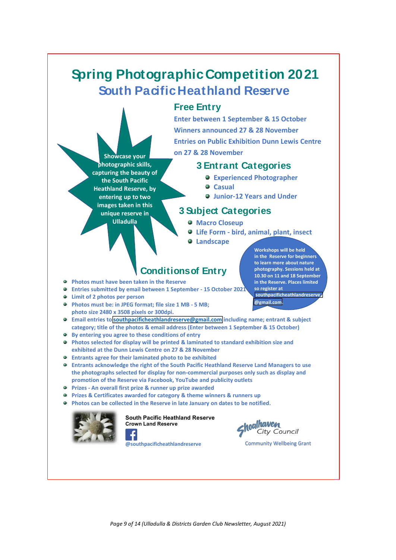# **Spring Photographic Competition 20 21 South Pacific Heathland Reserve**

# **Free Entry**

**Enter between 1 September & 15 October Winners announced 27 & 28 November Entries on Public Exhibition Dunn Lewis Centre on 27 & 28 November**

# **3 Entra nt Categories**

- **Experienced Photographer**
- **Casual**
- **Junior-12 Years and Under**

# **3 Subject Categories**

- **Macro Closeup**
- **Life Form - bird, animal, plant, insect**
- **Landscape**

# **Conditions of Entry**

**Photos must have been taken in the Reserve**

**Showcase your photographic skills, capturing the beauty of the South Pacific Heathland Reserve, by entering up to two images taken in this unique reserve in Ulladulla**

- **Entries submitted by email between 1 September - 15 October 2021**
- **Limit of 2 photos per person**
- **Photos must be: in JPEG format; file size 1 MB - 5 MB; photo size 2480 x 3508 pixels or 300dpi.**
- **Email entries to southpacificheathlandreserve@gmail.com including name; entrant & subject category; title of the photos & email address (Enter between 1 September & 15 October)**
- **By entering you agree to these conditions of entry**
- **Photos selected for display will be printed & laminated to standard exhibition size and exhibited at the Dunn Lewis Centre on 27 & 28 November**
- **Entrants agree for their laminated photo to be exhibited**
- **Entrants acknowledge the right of the South Pacific Heathland Reserve Land Managers to use the photographs selected for display for non-commercial purposes only such as display and promotion of the Reserve via Facebook, YouTube and publicity outlets**
- **Prizes - An overall first prize & runner up prize awarded**
- **Prizes & Certificates awarded for category & theme winners & runners up**
- **Photos can be collected in the Reserve in late January on dates to be notified.**  $\bullet$



#### **South Pacific Heathland Reserve Crown Land Reserve**



# hoalhaven City Council

Community Wellbeing Grant

**Workshops will be held in the Reserve for beginners to learn more about nature photography. Sessions held at 10.30 on 11 and 18 September in the Reserve. Places limited so register at**

**southpacificheathlandreserve @gmail.com.**

*Page 9 of 14 (Ulladulla & Districts Garden Club Newsletter, August 2021)*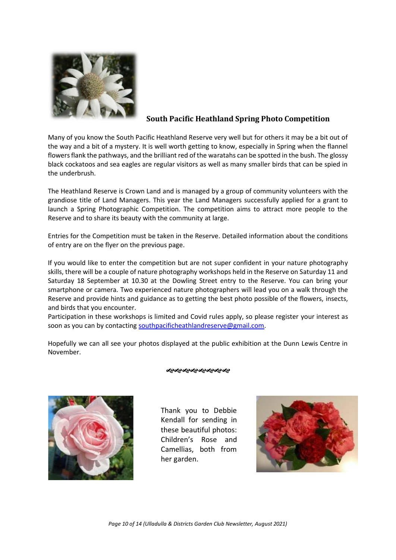

### **South Pacific Heathland Spring Photo Competition**

Many of you know the South Pacific Heathland Reserve very well but for others it may be a bit out of the way and a bit of a mystery. It is well worth getting to know, especially in Spring when the flannel flowers flank the pathways, and the brilliant red of the waratahs can be spotted in the bush. The glossy black cockatoos and sea eagles are regular visitors as well as many smaller birds that can be spied in the underbrush.

The Heathland Reserve is Crown Land and is managed by a group of community volunteers with the grandiose title of Land Managers. This year the Land Managers successfully applied for a grant to launch a Spring Photographic Competition. The competition aims to attract more people to the Reserve and to share its beauty with the community at large.

Entries for the Competition must be taken in the Reserve. Detailed information about the conditions of entry are on the flyer on the previous page.

If you would like to enter the competition but are not super confident in your nature photography skills, there will be a couple of nature photography workshops held in the Reserve on Saturday 11 and Saturday 18 September at 10.30 at the Dowling Street entry to the Reserve. You can bring your smartphone or camera. Two experienced nature photographers will lead you on a walk through the Reserve and provide hints and guidance as to getting the best photo possible of the flowers, insects, and birds that you encounter.

Participation in these workshops is limited and Covid rules apply, so please register your interest as soon as you can by contacting [southpacificheathlandreserve@gmail.com.](mailto:southpacificheathlandreserve@gmail.com)

Hopefully we can all see your photos displayed at the public exhibition at the Dunn Lewis Centre in November.



#### જાજાજાજાજાજાજાજા

Thank you to Debbie Kendall for sending in these beautiful photos: Children's Rose and Camellias, both from her garden.

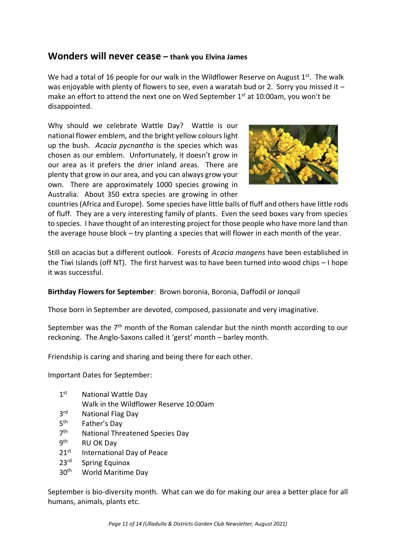# **Wonders will never cease – thank you Elvina James**

We had a total of 16 people for our walk in the Wildflower Reserve on August  $1<sup>st</sup>$ . The walk was enjoyable with plenty of flowers to see, even a waratah bud or 2. Sorry you missed it  $$ make an effort to attend the next one on Wed September 1<sup>st</sup> at 10:00am, you won't be disappointed.

Why should we celebrate Wattle Day? Wattle is our national flower emblem, and the bright yellow colours light up the bush. *Acacia pycnantha* is the species which was chosen as our emblem. Unfortunately, it doesn't grow in our area as it prefers the drier inland areas. There are plenty that grow in our area, and you can always grow your own. There are approximately 1000 species growing in Australia. About 350 extra species are growing in other



countries (Africa and Europe). Some species have little balls of fluff and others have little rods of fluff. They are a very interesting family of plants. Even the seed boxes vary from species to species. I have thought of an interesting project for those people who have more land than the average house block – try planting a species that will flower in each month of the year.

Still on acacias but a different outlook. Forests of *Acacia mangens* have been established in the Tiwi Islands (off NT). The first harvest was to have been turned into wood chips – I hope it was successful.

**Birthday Flowers for September**: Brown boronia, Boronia, Daffodil or Jonquil

Those born in September are devoted, composed, passionate and very imaginative.

September was the  $7<sup>th</sup>$  month of the Roman calendar but the ninth month according to our reckoning. The Anglo-Saxons called it 'gerst' month – barley month.

Friendship is caring and sharing and being there for each other.

Important Dates for September:

- $1<sup>st</sup>$ National Wattle Day
	- Walk in the Wildflower Reserve 10:00am
- $3<sup>rd</sup>$ National Flag Day
- $5<sup>th</sup>$ Father's Day
- $7<sup>th</sup>$ National Threatened Species Day
- **gth RU OK Day**
- 21<sup>st</sup> International Day of Peace
- 23<sup>rd</sup> Spring Equinox
- 30<sup>th</sup> World Maritime Day

September is bio-diversity month. What can we do for making our area a better place for all humans, animals, plants etc.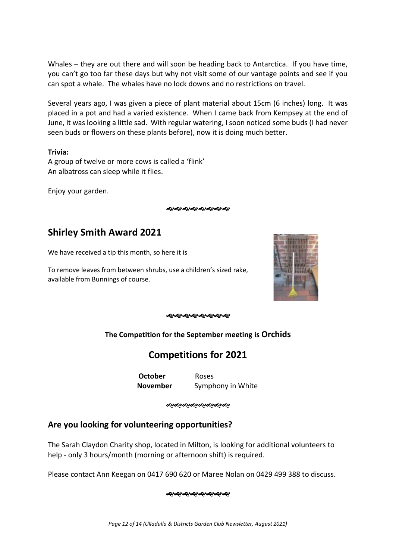Whales – they are out there and will soon be heading back to Antarctica. If you have time, you can't go too far these days but why not visit some of our vantage points and see if you can spot a whale. The whales have no lock downs and no restrictions on travel.

Several years ago, I was given a piece of plant material about 15cm (6 inches) long. It was placed in a pot and had a varied existence. When I came back from Kempsey at the end of June, it was looking a little sad. With regular watering, I soon noticed some buds (I had never seen buds or flowers on these plants before), now it is doing much better.

#### **Trivia:**

A group of twelve or more cows is called a 'flink' An albatross can sleep while it flies.

Enjoy your garden.

જાજાજાજાજાજાજાજા

# **Shirley Smith Award 2021**

We have received a tip this month, so here it is

To remove leaves from between shrubs, use a children's sized rake, available from Bunnings of course.



# **The Competition for the September meeting is Orchids**

# **Competitions for 2021**

**October** Roses **November** Symphony in White

જાજાજાજાજાજાજાજા

# **Are you looking for volunteering opportunities?**

The Sarah Claydon Charity shop, located in Milton, is looking for additional volunteers to help - only 3 hours/month (morning or afternoon shift) is required.

Please contact Ann Keegan on 0417 690 620 or Maree Nolan on 0429 499 388 to discuss.

ઌ૰ઌ૰ઌ૰ઌ૰ઌ૰ઌ૰ઌ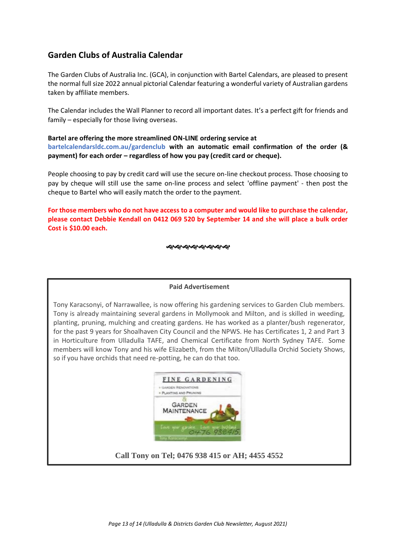# **Garden Clubs of Australia Calendar**

The Garden Clubs of Australia Inc. (GCA), in conjunction with Bartel Calendars, are pleased to present the normal full size 2022 annual pictorial Calendar featuring a wonderful variety of Australian gardens taken by affiliate members.

The Calendar includes the Wall Planner to record all important dates. It's a perfect gift for friends and family – especially for those living overseas.

#### **Bartel are offering the more streamlined ON-LINE ordering service at**

**bartelcalendarsldc.com.au/gardenclub with an automatic email confirmation of the order (& payment) for each order – regardless of how you pay (credit card or cheque).** 

People choosing to pay by credit card will use the secure on-line checkout process. Those choosing to pay by cheque will still use the same on-line process and select 'offline payment' - then post the cheque to Bartel who will easily match the order to the payment.

**For those members who do not have access to a computer and would like to purchase the calendar, please contact Debbie Kendall on 0412 069 520 by September 14 and she will place a bulk order Cost is \$10.00 each.**

ઌ૰ઌ૰ઌ૰ઌ૰ઌ૰ઌ૰ઌ

#### **Paid Advertisement**

Tony Karacsonyi, of Narrawallee, is now offering his gardening services to Garden Club members. Tony is already maintaining several gardens in Mollymook and Milton, and is skilled in weeding, planting, pruning, mulching and creating gardens. He has worked as a planter/bush regenerator, for the past 9 years for Shoalhaven City Council and the NPWS. He has Certificates 1, 2 and Part 3 in Horticulture from Ulladulla TAFE, and Chemical Certificate from North Sydney TAFE. Some members will know Tony and his wife Elizabeth, from the Milton/Ulladulla Orchid Society Shows, so if you have orchids that need re-potting, he can do that too.



#### **Call Tony on Tel; 0476 938 415 or AH; 4455 4552**